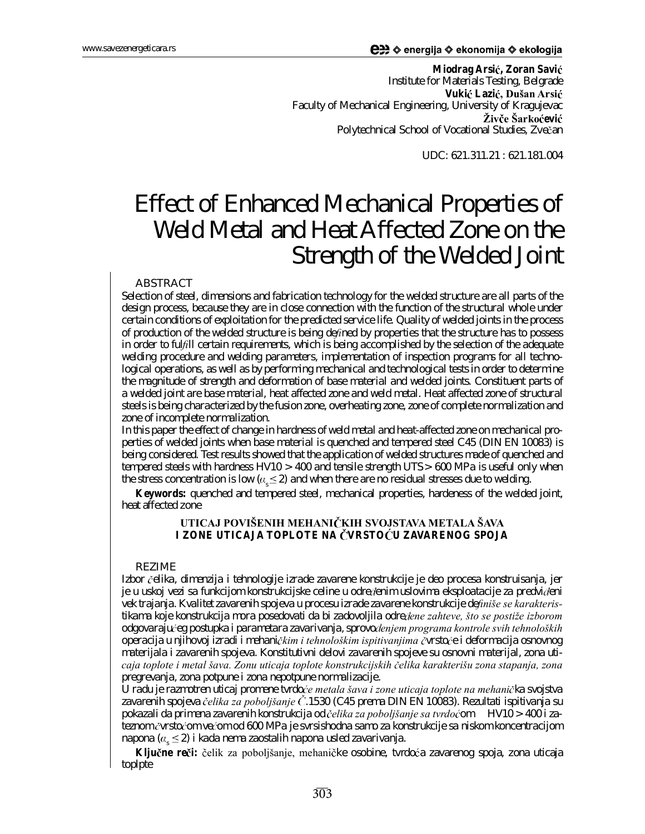**Miodrag Arsi , Zoran Savi** Institute for Materials Testing, Belgrade **Vukić Lazić, Dušan Arsić** Faculty of Mechanical Engineering, University of Kragujevac **Żivče Šarkoćević** Polytechnical School of Vocational Studies, Zvečan

UDC: 621.311.21 : 621.181.004

# Effect of Enhanced Mechanical Properties of Weld Metal and Heat Affected Zone on the Strength of the Welded Joint

#### ABSTRACT

*Selection of steel, dimensions and fabrication technology for the welded structure are all parts of the design process, because they are in close connection with the function of the structural whole under certain conditions of exploitation for the predicted service life. Quality of welded joints in the process* of production of the welded structure is being defined by properties that the structure has to possess *in order to fulll certain requirements, which is being accomplished by the selection of the adequate welding procedure and welding parameters, implementation of inspection programs for all technological operations, as well as by performing mechanical and technological tests in order to determine the magnitude of strength and deformation of base material and welded joints. Constituent parts of a welded joint are base material, heat affected zone and weld metal. Heat affected zone of structural steels is being characterized by the fusion zone, overheating zone, zone of complete normalization and zone of incomplete normalization.*

In this paper the effect of change in hardness of weld metal and heat-affected zone on mechanical pro*perties of welded joints when base material is quenched and tempered steel C45 (DIN EN 10083) is being considered. Test results showed that the application of welded structures made of quenched and tempered steels with hardness HV10 > 400 and tensile strength UTS> 600 MPa is useful only when the stress concentration is low ( s 2) and when there are no residual stresses due to welding.*

**Keywords:** quenched and tempered steel, mechanical properties, hardeness of the welded joint, heat affected zone

## **UTICAJ POVIENIH MEHANI KIH SVOJSTAVA METALA AVA I ZONE UTICAJA TOPLOTE NA VRSTO U ZAVARENOG SPOJA**

#### REZIME

*Izbor elika, dimenzija i tehnologije izrade zavarene konstrukcije je deo procesa konstruisanja, jer je u uskoj vezi sa funkcijom konstrukcijske celine u odre enim uslovima eksploatacije za predvi eni vek trajanja. Kvalitet zavarenih spojeva u procesu izrade zavarene konstrukcije denie se karakteristikama koje konstrukcija mora posedovati da bi zadovoljila odre ene zahteve, to se postie izborom odgovaraju eg postupka i parametara zavarivanja,sprovo enjem programa kontrole svih tehnolokih operacija u njihovoj izradi i mehani kim i tehnolokim ispitivanjima vrsto e i deformacija osnovnog materijala i zavarenih spojeva. Konstitutivni delovi zavarenih spojeve su osnovni materijal, zona uticaja toplote i metal ava. Zonu uticaja toplote konstrukcijskih elika karakteriu zona stapanja, zona pregrevanja, zona potpune i zona nepotpune normalizacije.*

*U radu je razmotren uticaj promene tvrdo e metala ava i zone uticaja toplote na mehani ka svojstva zavarenih spojeva elika za poboljanje .1530 (C45 prema DIN EN 10083). Rezultati ispitivanja su pokazali da primena zavarenih konstrukcija od elika za poboljanje sa tvrdo om HV10 > 400 i zateznom vrsto om ve om od 600 MPa je svrsishodna samo za konstrukcije sa niskom koncentracijom napona ( s 2) i kada nema zaostalih napona usled zavarivanja.*

Ključne reči: čelik za poboljšanje, mehaničke osobine, tvrdoća zavarenog spoja, zona uticaja toplpte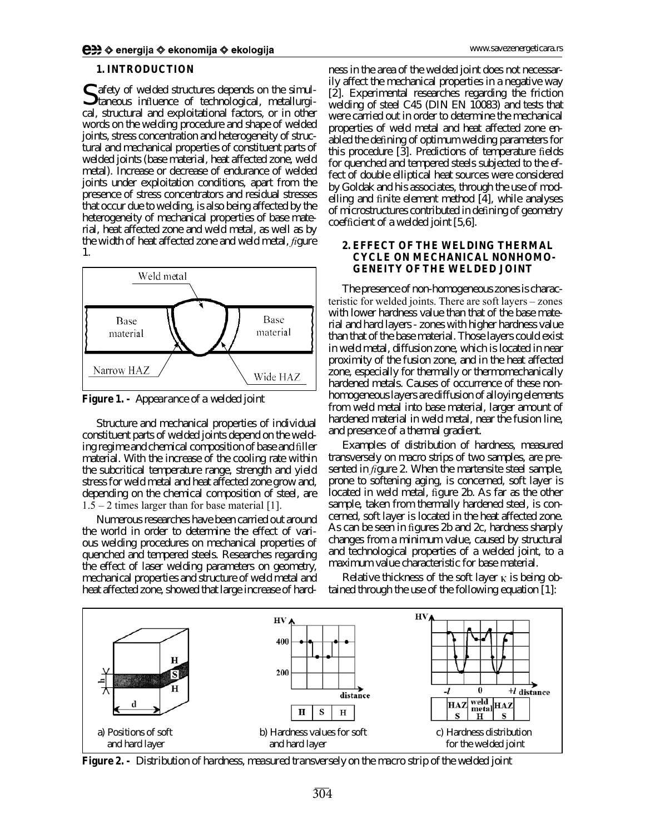#### **1. INTRODUCTION**

Safety of welded structures depends on the simulation of the simulation of the simulation of the contract of the simulation of the simulation of the simulation of the simulation of the simulation of the simulation of the s  $\bigcup$  taneous influence of technological, metallurgical, structural and exploitational factors, or in other words on the welding procedure and shape of welded joints, stress concentration and heterogeneity of structural and mechanical properties of constituent parts of welded joints (base material, heat affected zone, weld metal). Increase or decrease of endurance of welded joints under exploitation conditions, apart from the presence of stress concentrators and residual stresses that occur due to welding, is also being affected by the heterogeneity of mechanical properties of base material, heat affected zone and weld metal, as well as by the width of heat affected zone and weld metal, *figure 1*.



**Figure 1. -** *Appearance of a welded joint*

Structure and mechanical properties of individual constituent parts of welded joints depend on the welding regime and chemical composition of base and filler material. With the increase of the cooling rate within the subcritical temperature range, strength and yield stress for weld metal and heat affected zone grow and, depending on the chemical composition of steel, are  $1.5 - 2$  times larger than for base material [1].

Numerous researches have been carried out around the world in order to determine the effect of various welding procedures on mechanical properties of quenched and tempered steels. Researches regarding the effect of laser welding parameters on geometry, mechanical properties and structure of weld metal and heat affected zone, showed that large increase of hard-

ness in the area of the welded joint does not necessarily affect the mechanical properties in a negative way [2]. Experimental researches regarding the friction welding of steel C45 (DIN EN 10083) and tests that were carried out in order to determine the mechanical properties of weld metal and heat affected zone enabled the defining of optimum welding parameters for this procedure [3]. Predictions of temperature fields for quenched and tempered steels subjected to the effect of double elliptical heat sources were considered by Goldak and his associates, through the use of modelling and finite element method [4], while analyses of microstructures contributed in defining of geometry  $coefficient of a$  welded joint  $[5,6]$ .

## **2. EFFECT OF THE WELDING THERMAL CYCLE ON MECHANICAL NONHOMO-GENEITY OF THE WELDED JOINT**

The presence of non-homogeneous zones is characteristic for welded joints. There are soft layers - zones with lower hardness value than that of the base material and hard layers - zones with higher hardness value than that of the base material. Those layers could exist in weld metal, diffusion zone, which is located in near proximity of the fusion zone, and in the heat affected zone, especially for thermally or thermomechanically hardened metals. Causes of occurrence of these nonhomogeneous layers are diffusion of alloying elements from weld metal into base material, larger amount of hardened material in weld metal, near the fusion line, and presence of a thermal gradient.

Examples of distribution of hardness, measured transversely on macro strips of two samples, are presented in *figure 2*. When the martensite steel sample, prone to softening aging, is concerned, soft layer is located in weld metal, figure 2b. As far as the other sample, taken from thermally hardened steel, is concerned, soft layer is located in the heat affected zone. As can be seen in figures 2b and 2c, hardness sharply changes from a minimum value, caused by structural and technological properties of a welded joint, to a maximum value characteristic for base material.

Relative thickness of the soft layer  $\kappa$  is being obtained through the use of the following equation [1]:



**Figure 2. -** *Distribution of hardness, measured transversely on the macro strip of the welded joint*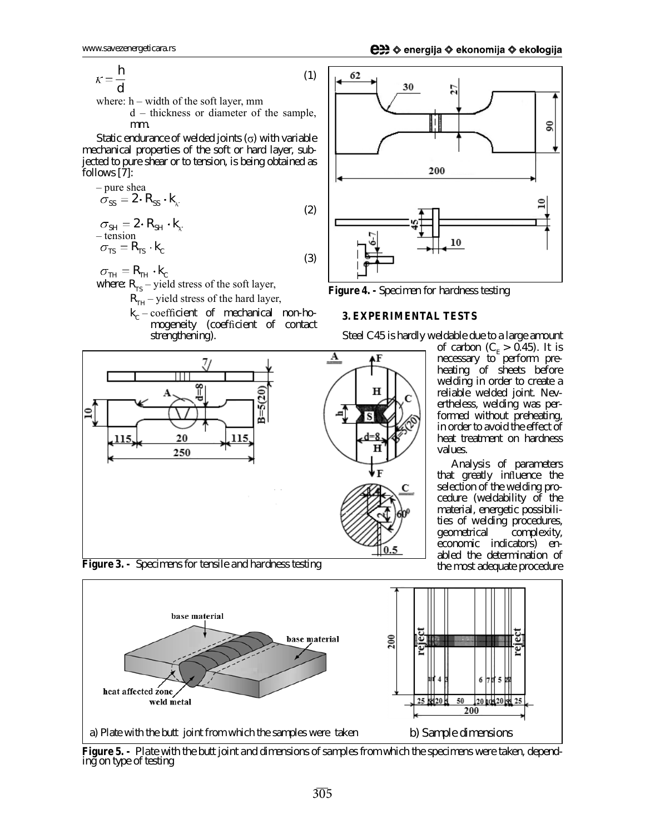$$
\kappa = \frac{h}{d} \tag{1}
$$

where:  $h$  – width of the soft layer, mm

 $d$  – thickness or diameter of the sample, mm.

Static endurance of welded joints  $(\sigma)$  with variable mechanical properties of the soft or hard layer, subjected to pure shear or to tension, is being obtained as follows [7]:

$$
-\text{pure shea} \n\sigma_{SS} = 2 \cdot R_{SS} \cdot k_{\kappa} \n\sigma_{SH} = 2 \cdot R_{SH} \cdot k_{\kappa} \n-\text{tension} \n\sigma_{TS} = R_{TS} \cdot k_{\kappa}
$$
\n(3)

 $\sigma_{\tau H} = R_{\tau H} \cdot k_c$ 

where:  $R_{TS}$  – yield stress of the soft layer,

 $R_{TH}$  – yield stress of the hard layer,

 $k_c$  - coefficient of mechanical non-homogeneity (coefficient of contact strengthening).





**Figure 4. -** *Specimen for hardness testing*

#### **3. EXPERIMENTAL TESTS**

Steel C45 is hardly weldable due to a large amount

of carbon ( $C_{E}$  > 0.45). It is necessary to perform preheating of sheets before welding in order to create a reliable welded joint. Nevertheless, welding was performed without preheating, in order to avoid the effect of heat treatment on hardness values.

Analysis of parameters that greatly influence the selection of the welding procedure (weldability of the material, energetic possibilities of welding procedures, geometrical complexity, economic indicators) enabled the determination of the most adequate procedure



Figure 5. - Plate with the butt joint and dimensions of samples from which the specimens were taken, depend*ing on type of testing*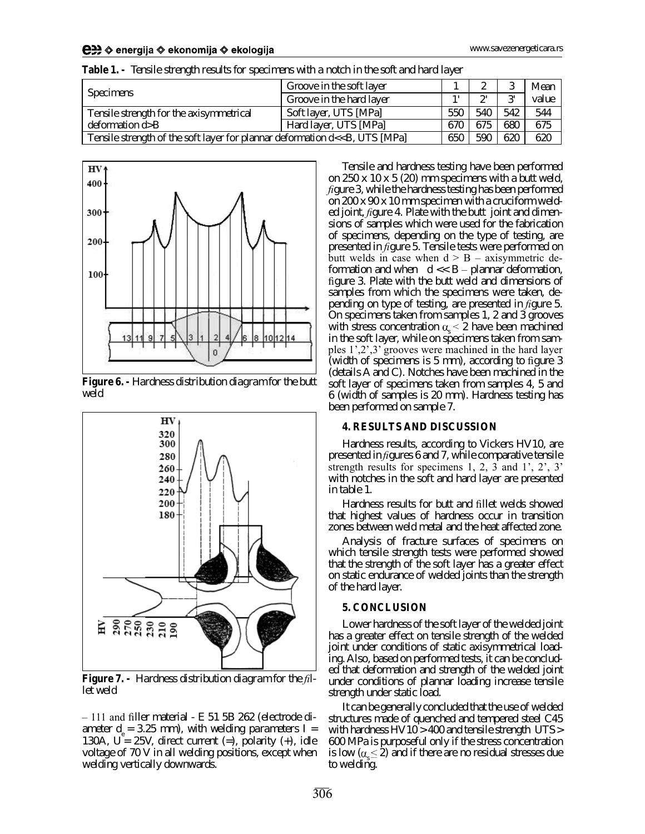| <b>Specimens</b>                                                                                                                               | Groove in the soft layer |        |              |              | Mean  |
|------------------------------------------------------------------------------------------------------------------------------------------------|--------------------------|--------|--------------|--------------|-------|
|                                                                                                                                                | Groove in the hard layer | $\sim$ | $\mathbf{a}$ | $\mathbf{a}$ | value |
| Tensile strength for the axisymmetrical                                                                                                        | Soft layer, UTS [MPa]    | 550    | 540          | 542          | 544   |
| deformation $d > B$                                                                                                                            | Hard layer, UTS [MPa]    | 670    | 675          | 680          | 675   |
| Tensile strength of the soft layer for plannar deformation d< <b, [mpa]<="" td="" uts=""><td>650</td><td>590</td><td>620</td><td>620</td></b,> |                          | 650    | 590          | 620          | 620   |

**Table 1. -** *Tensile strength results for specimens with a notch in the soft and hard layer*



**Figure 6. -** *Hardness distribution diagram for the butt weld*



**Figure 7. -** *Hardness distribution diagram for the llet weld*

 $-111$  and filler material - E 51 5B 262 (electrode diameter d<sub>e</sub> = 3.25 mm*), with welding parameters* 1 = 130A,  $U = 25V$ , direct current (=), polarity (+), idle voltage of 70 V in all welding positions, except when welding vertically downwards.

Tensile and hardness testing have been performed on 250 x 10 x 5 (20) mm specimens with a butt weld, *figure* 3, while the hardness testing has been performed on 200 x 90 x 10 mm specimen with a cruciform welded joint, *figure 4*. Plate with the butt joint and dimensions of samples which were used for the fabrication of specimens, depending on the type of testing, are presented in *figure 5*. Tensile tests were performed on butt welds in case when  $d > B - axisymmetric$  deformation and when  $d \ll B$  – plannar deformation, figure 3. Plate with the butt weld and dimensions of samples from which the specimens were taken, depending on type of testing, are presented in *figure 5*. On specimens taken from samples 1, 2 and 3 grooves with stress concentration  $\alpha_{s} \leq 2$  have been machined in the soft layer, while on specimens taken from samples  $1^{\prime}, 2^{\prime}, 3^{\prime}$  grooves were machined in the hard layer (width of specimens is  $5 \text{ mm}$ ), according to figure 3 (details A and C). Notches have been machined in the soft layer of specimens taken from samples 4, 5 and 6 (width of samples is 20 mm). Hardness testing has been performed on sample 7.

#### **4. RESULTS AND DISCUSSION**

Hardness results, according to Vickers HV10, are presented in *gures 6* and *7*, while comparative tensile strength results for specimens  $1, 2, 3$  and  $1', 2', 3'$ with notches in the soft and hard layer are presented in *table 1*.

Hardness results for butt and fillet welds showed that highest values of hardness occur in transition zones between weld metal and the heat affected zone.

Analysis of fracture surfaces of specimens on which tensile strength tests were performed showed that the strength of the soft layer has a greater effect on static endurance of welded joints than the strength of the hard layer.

#### **5. CONCLUSION**

Lower hardness of the soft layer of the welded joint has a greater effect on tensile strength of the welded joint under conditions of static axisymmetrical loading. Also, based on performed tests, it can be concluded that deformation and strength of the welded joint under conditions of plannar loading increase tensile strength under static load.

It can be generally concluded that the use of welded structures made of quenched and tempered steel C45 with hardness HV10 > 400 and tensile strength UTS> 600 MPa is purposeful only if the stress concentration is low ( $\alpha_{s} \leq 2$ ) and if there are no residual stresses due to welding.